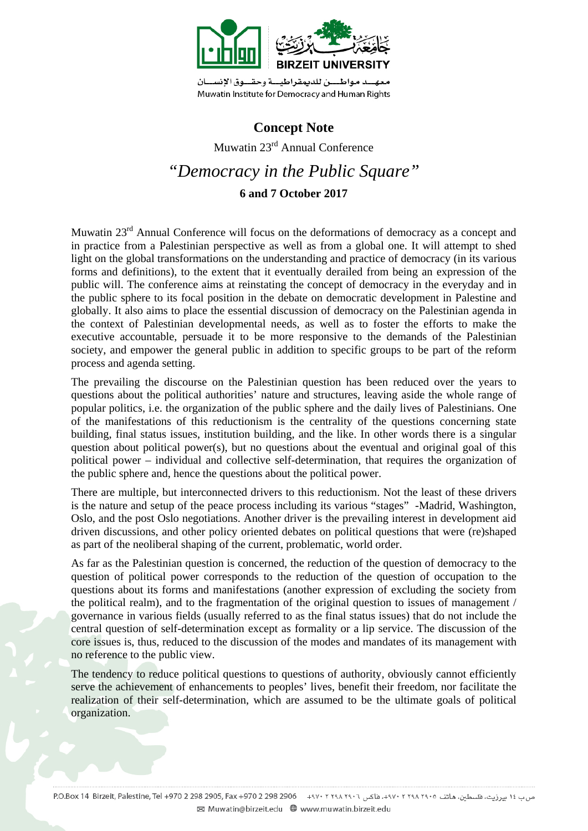

# **Concept Note**

Muwatin 23rd Annual Conference *"Democracy in the Public Square"*  **6 and 7 October 2017** 

Muwatin 23<sup>rd</sup> Annual Conference will focus on the deformations of democracy as a concept and in practice from a Palestinian perspective as well as from a global one. It will attempt to shed light on the global transformations on the understanding and practice of democracy (in its various forms and definitions), to the extent that it eventually derailed from being an expression of the public will. The conference aims at reinstating the concept of democracy in the everyday and in the public sphere to its focal position in the debate on democratic development in Palestine and globally. It also aims to place the essential discussion of democracy on the Palestinian agenda in the context of Palestinian developmental needs, as well as to foster the efforts to make the executive accountable, persuade it to be more responsive to the demands of the Palestinian society, and empower the general public in addition to specific groups to be part of the reform process and agenda setting.

The prevailing the discourse on the Palestinian question has been reduced over the years to questions about the political authorities' nature and structures, leaving aside the whole range of popular politics, i.e. the organization of the public sphere and the daily lives of Palestinians. One of the manifestations of this reductionism is the centrality of the questions concerning state building, final status issues, institution building, and the like. In other words there is a singular question about political power(s), but no questions about the eventual and original goal of this political power – individual and collective self-determination, that requires the organization of the public sphere and, hence the questions about the political power.

There are multiple, but interconnected drivers to this reductionism. Not the least of these drivers is the nature and setup of the peace process including its various "stages" -Madrid, Washington, Oslo, and the post Oslo negotiations. Another driver is the prevailing interest in development aid driven discussions, and other policy oriented debates on political questions that were (re)shaped as part of the neoliberal shaping of the current, problematic, world order.

As far as the Palestinian question is concerned, the reduction of the question of democracy to the question of political power corresponds to the reduction of the question of occupation to the questions about its forms and manifestations (another expression of excluding the society from the political realm), and to the fragmentation of the original question to issues of management / governance in various fields (usually referred to as the final status issues) that do not include the central question of self-determination except as formality or a lip service. The discussion of the core issues is, thus, reduced to the discussion of the modes and mandates of its management with no reference to the public view.

The tendency to reduce political questions to questions of authority, obviously cannot efficiently serve the achievement of enhancements to peoples' lives, benefit their freedom, nor facilitate the realization of their self-determination, which are assumed to be the ultimate goals of political organization.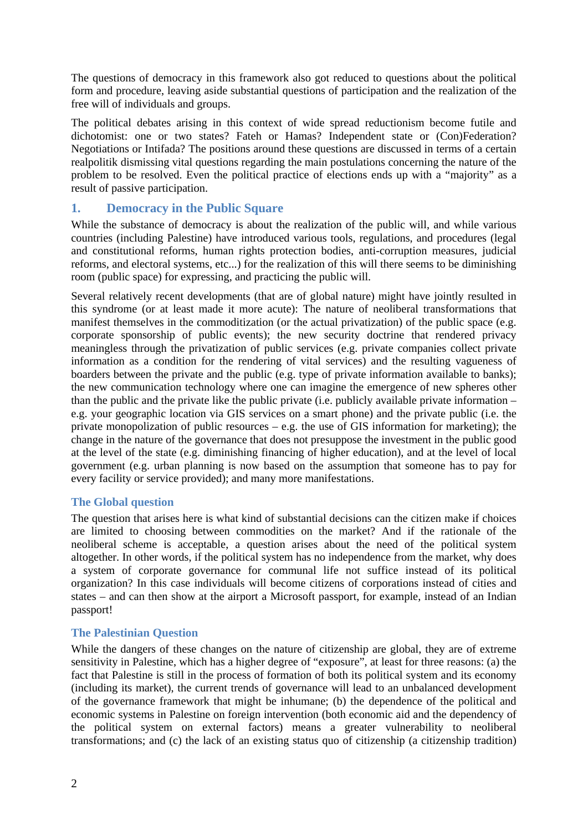The questions of democracy in this framework also got reduced to questions about the political form and procedure, leaving aside substantial questions of participation and the realization of the free will of individuals and groups.

The political debates arising in this context of wide spread reductionism become futile and dichotomist: one or two states? Fateh or Hamas? Independent state or (Con)Federation? Negotiations or Intifada? The positions around these questions are discussed in terms of a certain realpolitik dismissing vital questions regarding the main postulations concerning the nature of the problem to be resolved. Even the political practice of elections ends up with a "majority" as a result of passive participation.

### **1. Democracy in the Public Square**

While the substance of democracy is about the realization of the public will, and while various countries (including Palestine) have introduced various tools, regulations, and procedures (legal and constitutional reforms, human rights protection bodies, anti-corruption measures, judicial reforms, and electoral systems, etc...) for the realization of this will there seems to be diminishing room (public space) for expressing, and practicing the public will.

Several relatively recent developments (that are of global nature) might have jointly resulted in this syndrome (or at least made it more acute): The nature of neoliberal transformations that manifest themselves in the commoditization (or the actual privatization) of the public space (e.g. corporate sponsorship of public events); the new security doctrine that rendered privacy meaningless through the privatization of public services (e.g. private companies collect private information as a condition for the rendering of vital services) and the resulting vagueness of boarders between the private and the public (e.g. type of private information available to banks); the new communication technology where one can imagine the emergence of new spheres other than the public and the private like the public private (i.e. publicly available private information – e.g. your geographic location via GIS services on a smart phone) and the private public (i.e. the private monopolization of public resources – e.g. the use of GIS information for marketing); the change in the nature of the governance that does not presuppose the investment in the public good at the level of the state (e.g. diminishing financing of higher education), and at the level of local government (e.g. urban planning is now based on the assumption that someone has to pay for every facility or service provided); and many more manifestations.

### **The Global question**

The question that arises here is what kind of substantial decisions can the citizen make if choices are limited to choosing between commodities on the market? And if the rationale of the neoliberal scheme is acceptable, a question arises about the need of the political system altogether. In other words, if the political system has no independence from the market, why does a system of corporate governance for communal life not suffice instead of its political organization? In this case individuals will become citizens of corporations instead of cities and states – and can then show at the airport a Microsoft passport, for example, instead of an Indian passport!

### **The Palestinian Question**

While the dangers of these changes on the nature of citizenship are global, they are of extreme sensitivity in Palestine, which has a higher degree of "exposure", at least for three reasons: (a) the fact that Palestine is still in the process of formation of both its political system and its economy (including its market), the current trends of governance will lead to an unbalanced development of the governance framework that might be inhumane; (b) the dependence of the political and economic systems in Palestine on foreign intervention (both economic aid and the dependency of the political system on external factors) means a greater vulnerability to neoliberal transformations; and (c) the lack of an existing status quo of citizenship (a citizenship tradition)